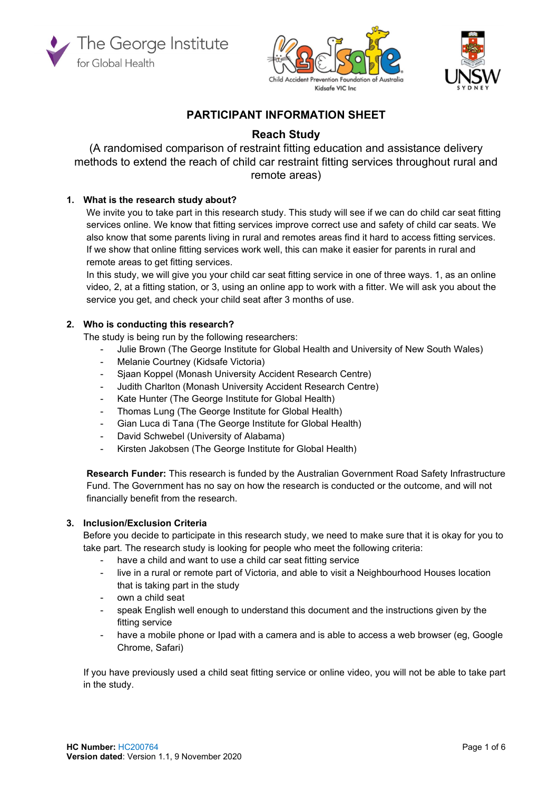





# PARTICIPANT INFORMATION SHEET

# Reach Study

(A randomised comparison of restraint fitting education and assistance delivery methods to extend the reach of child car restraint fitting services throughout rural and remote areas)

# 1. What is the research study about?

We invite you to take part in this research study. This study will see if we can do child car seat fitting services online. We know that fitting services improve correct use and safety of child car seats. We also know that some parents living in rural and remotes areas find it hard to access fitting services. If we show that online fitting services work well, this can make it easier for parents in rural and remote areas to get fitting services.

In this study, we will give you your child car seat fitting service in one of three ways. 1, as an online video, 2, at a fitting station, or 3, using an online app to work with a fitter. We will ask you about the service you get, and check your child seat after 3 months of use.

# 2. Who is conducting this research?

The study is being run by the following researchers:

- Julie Brown (The George Institute for Global Health and University of New South Wales)
- Melanie Courtney (Kidsafe Victoria)
- Sjaan Koppel (Monash University Accident Research Centre)
- Judith Charlton (Monash University Accident Research Centre)
- Kate Hunter (The George Institute for Global Health)
- Thomas Lung (The George Institute for Global Health)
- Gian Luca di Tana (The George Institute for Global Health)
- David Schwebel (University of Alabama)
- Kirsten Jakobsen (The George Institute for Global Health)

Research Funder: This research is funded by the Australian Government Road Safety Infrastructure Fund. The Government has no say on how the research is conducted or the outcome, and will not financially benefit from the research.

### 3. Inclusion/Exclusion Criteria

Before you decide to participate in this research study, we need to make sure that it is okay for you to take part. The research study is looking for people who meet the following criteria:

- have a child and want to use a child car seat fitting service
- live in a rural or remote part of Victoria, and able to visit a Neighbourhood Houses location that is taking part in the study
- own a child seat
- speak English well enough to understand this document and the instructions given by the fitting service
- have a mobile phone or Ipad with a camera and is able to access a web browser (eg, Google Chrome, Safari)

If you have previously used a child seat fitting service or online video, you will not be able to take part in the study.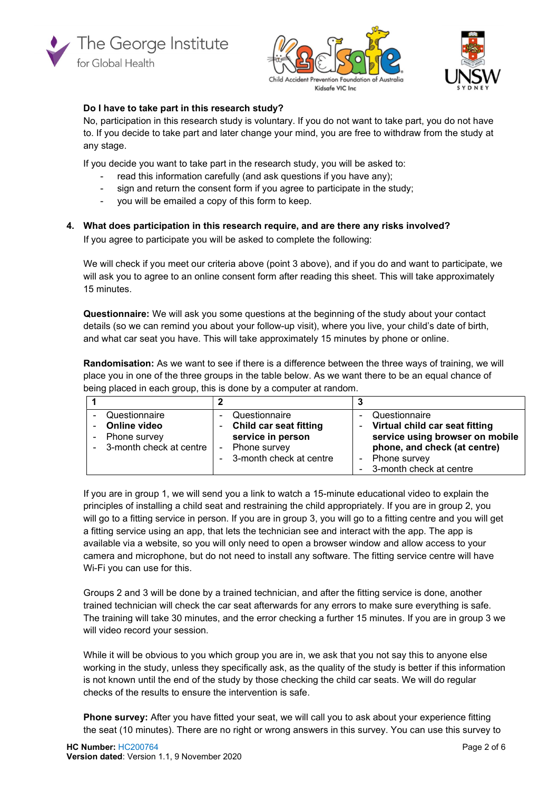





# Do I have to take part in this research study?

No, participation in this research study is voluntary. If you do not want to take part, you do not have to. If you decide to take part and later change your mind, you are free to withdraw from the study at any stage.

If you decide you want to take part in the research study, you will be asked to:

- read this information carefully (and ask questions if you have any);
- sign and return the consent form if you agree to participate in the study;
- you will be emailed a copy of this form to keep.

### 4. What does participation in this research require, and are there any risks involved?

If you agree to participate you will be asked to complete the following:

We will check if you meet our criteria above (point 3 above), and if you do and want to participate, we will ask you to agree to an online consent form after reading this sheet. This will take approximately 15 minutes.

Questionnaire: We will ask you some questions at the beginning of the study about your contact details (so we can remind you about your follow-up visit), where you live, your child's date of birth, and what car seat you have. This will take approximately 15 minutes by phone or online.

Randomisation: As we want to see if there is a difference between the three ways of training, we will place you in one of the three groups in the table below. As we want there to be an equal chance of being placed in each group, this is done by a computer at random.

|                                                                                      |                                                                                                                  | v                                                                                                                                    |
|--------------------------------------------------------------------------------------|------------------------------------------------------------------------------------------------------------------|--------------------------------------------------------------------------------------------------------------------------------------|
| Questionnaire<br>Online video<br>$\sim$<br>Phone survey<br>- 3-month check at centre | Questionnaire<br><b>Child car seat fitting</b><br>service in person<br>Phone survey<br>- 3-month check at centre | Questionnaire<br>- Virtual child car seat fitting<br>service using browser on mobile<br>phone, and check (at centre)<br>Phone survey |
|                                                                                      |                                                                                                                  | - 3-month check at centre                                                                                                            |

If you are in group 1, we will send you a link to watch a 15-minute educational video to explain the principles of installing a child seat and restraining the child appropriately. If you are in group 2, you will go to a fitting service in person. If you are in group 3, you will go to a fitting centre and you will get a fitting service using an app, that lets the technician see and interact with the app. The app is available via a website, so you will only need to open a browser window and allow access to your camera and microphone, but do not need to install any software. The fitting service centre will have Wi-Fi you can use for this.

Groups 2 and 3 will be done by a trained technician, and after the fitting service is done, another trained technician will check the car seat afterwards for any errors to make sure everything is safe. The training will take 30 minutes, and the error checking a further 15 minutes. If you are in group 3 we will video record your session.

While it will be obvious to you which group you are in, we ask that you not say this to anyone else working in the study, unless they specifically ask, as the quality of the study is better if this information is not known until the end of the study by those checking the child car seats. We will do regular checks of the results to ensure the intervention is safe.

Phone survey: After you have fitted your seat, we will call you to ask about your experience fitting the seat (10 minutes). There are no right or wrong answers in this survey. You can use this survey to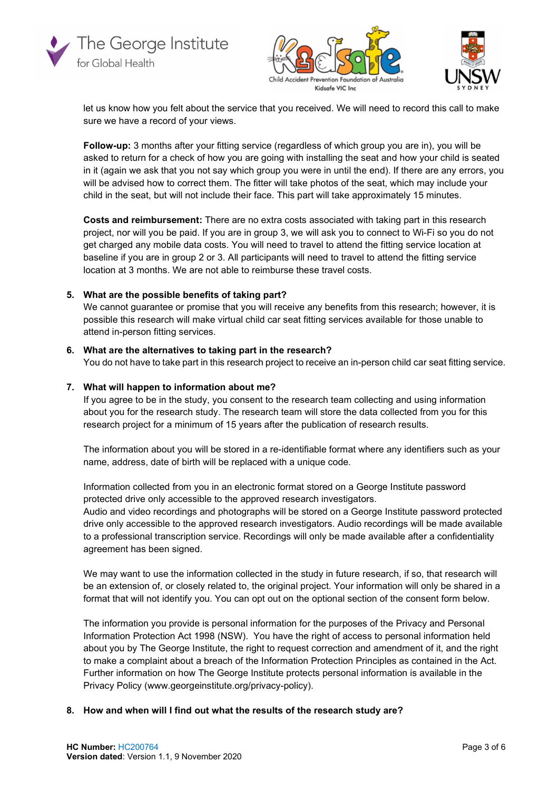





let us know how you felt about the service that you received. We will need to record this call to make sure we have a record of your views.

Follow-up: 3 months after your fitting service (regardless of which group you are in), you will be asked to return for a check of how you are going with installing the seat and how your child is seated in it (again we ask that you not say which group you were in until the end). If there are any errors, you will be advised how to correct them. The fitter will take photos of the seat, which may include your child in the seat, but will not include their face. This part will take approximately 15 minutes.

Costs and reimbursement: There are no extra costs associated with taking part in this research project, nor will you be paid. If you are in group 3, we will ask you to connect to Wi-Fi so you do not get charged any mobile data costs. You will need to travel to attend the fitting service location at baseline if you are in group 2 or 3. All participants will need to travel to attend the fitting service location at 3 months. We are not able to reimburse these travel costs.

#### 5. What are the possible benefits of taking part?

We cannot guarantee or promise that you will receive any benefits from this research; however, it is possible this research will make virtual child car seat fitting services available for those unable to attend in-person fitting services.

#### 6. What are the alternatives to taking part in the research?

You do not have to take part in this research project to receive an in-person child car seat fitting service.

### 7. What will happen to information about me?

If you agree to be in the study, you consent to the research team collecting and using information about you for the research study. The research team will store the data collected from you for this research project for a minimum of 15 years after the publication of research results.

The information about you will be stored in a re-identifiable format where any identifiers such as your name, address, date of birth will be replaced with a unique code.

Information collected from you in an electronic format stored on a George Institute password protected drive only accessible to the approved research investigators.

Audio and video recordings and photographs will be stored on a George Institute password protected drive only accessible to the approved research investigators. Audio recordings will be made available to a professional transcription service. Recordings will only be made available after a confidentiality agreement has been signed.

We may want to use the information collected in the study in future research, if so, that research will be an extension of, or closely related to, the original project. Your information will only be shared in a format that will not identify you. You can opt out on the optional section of the consent form below.

The information you provide is personal information for the purposes of the Privacy and Personal Information Protection Act 1998 (NSW). You have the right of access to personal information held about you by The George Institute, the right to request correction and amendment of it, and the right to make a complaint about a breach of the Information Protection Principles as contained in the Act. Further information on how The George Institute protects personal information is available in the Privacy Policy (www.georgeinstitute.org/privacy-policy).

#### 8. How and when will I find out what the results of the research study are?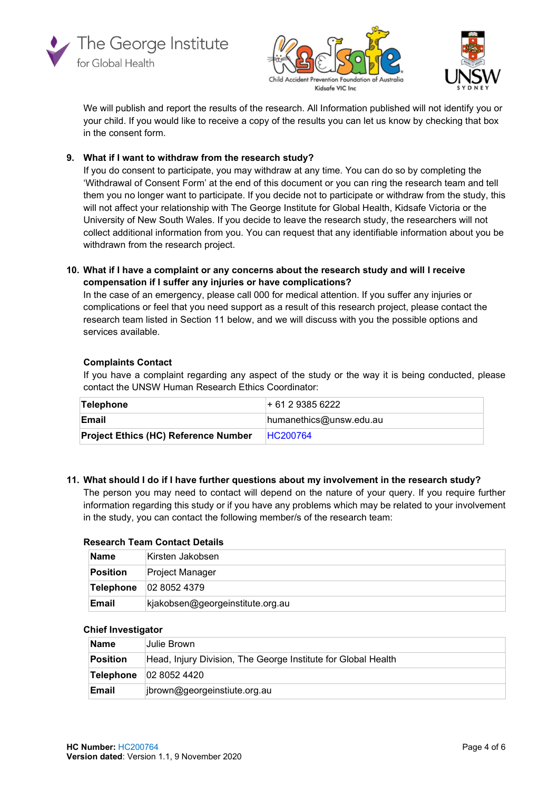





We will publish and report the results of the research. All Information published will not identify you or your child. If you would like to receive a copy of the results you can let us know by checking that box in the consent form.

## 9. What if I want to withdraw from the research study?

If you do consent to participate, you may withdraw at any time. You can do so by completing the 'Withdrawal of Consent Form' at the end of this document or you can ring the research team and tell them you no longer want to participate. If you decide not to participate or withdraw from the study, this will not affect your relationship with The George Institute for Global Health, Kidsafe Victoria or the University of New South Wales. If you decide to leave the research study, the researchers will not collect additional information from you. You can request that any identifiable information about you be withdrawn from the research project.

### 10. What if I have a complaint or any concerns about the research study and will I receive compensation if I suffer any injuries or have complications?

In the case of an emergency, please call 000 for medical attention. If you suffer any injuries or complications or feel that you need support as a result of this research project, please contact the research team listed in Section 11 below, and we will discuss with you the possible options and services available.

## Complaints Contact

If you have a complaint regarding any aspect of the study or the way it is being conducted, please contact the UNSW Human Research Ethics Coordinator:

| Telephone                                   | $+61293856222$             |
|---------------------------------------------|----------------------------|
| <b>Email</b>                                | $h$ umanethics@unsw.edu.au |
| <b>Project Ethics (HC) Reference Number</b> | <b>HC200764</b>            |

### 11. What should I do if I have further questions about my involvement in the research study?

The person you may need to contact will depend on the nature of your query. If you require further information regarding this study or if you have any problems which may be related to your involvement in the study, you can contact the following member/s of the research team:

### Research Team Contact Details

| ∣Name     | Kirsten Jakobsen                 |
|-----------|----------------------------------|
| Position  | ∣Project Manager                 |
| Telephone | $ 02\;8052\;4379\rangle$         |
| Email     | kjakobsen@georgeinstitute.org.au |

### Chief Investigator

| <b>Name</b>  | Julie Brown                                                   |
|--------------|---------------------------------------------------------------|
| Position     | Head, Injury Division, The George Institute for Global Health |
| Telephone    | 0280524420                                                    |
| <b>Email</b> | jbrown@georgeinstiute.org.au                                  |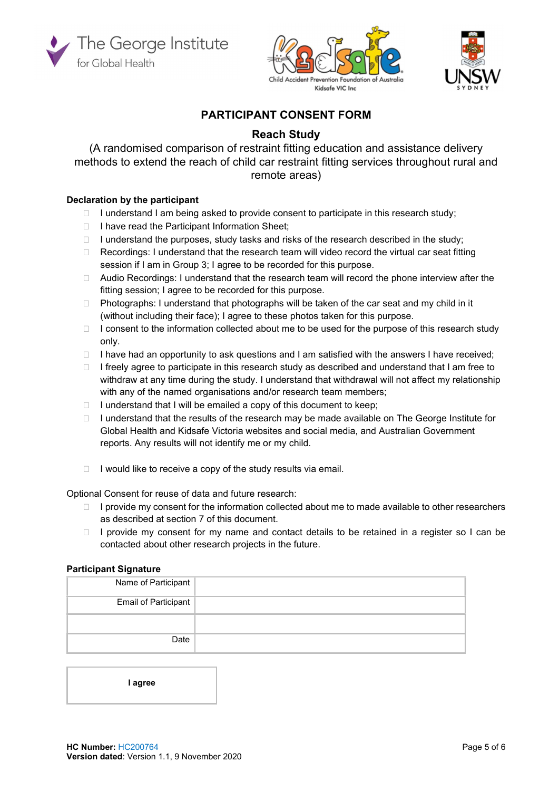





# PARTICIPANT CONSENT FORM

# Reach Study

(A randomised comparison of restraint fitting education and assistance delivery methods to extend the reach of child car restraint fitting services throughout rural and remote areas)

# Declaration by the participant

- $\Box$  I understand I am being asked to provide consent to participate in this research study;
- $\Box$  I have read the Participant Information Sheet;
- $\Box$  I understand the purposes, study tasks and risks of the research described in the study;
- $\Box$  Recordings: I understand that the research team will video record the virtual car seat fitting session if I am in Group 3; I agree to be recorded for this purpose.
- $\Box$  Audio Recordings: I understand that the research team will record the phone interview after the fitting session; I agree to be recorded for this purpose.
- $\Box$  Photographs: I understand that photographs will be taken of the car seat and my child in it (without including their face); I agree to these photos taken for this purpose.
- $\Box$  I consent to the information collected about me to be used for the purpose of this research study only.
- $\Box$  I have had an opportunity to ask questions and I am satisfied with the answers I have received;
- $\Box$  I freely agree to participate in this research study as described and understand that I am free to withdraw at any time during the study. I understand that withdrawal will not affect my relationship with any of the named organisations and/or research team members;
- $\Box$  I understand that I will be emailed a copy of this document to keep;
- $\Box$  I understand that the results of the research may be made available on The George Institute for Global Health and Kidsafe Victoria websites and social media, and Australian Government reports. Any results will not identify me or my child.
- $\Box$  I would like to receive a copy of the study results via email.

Optional Consent for reuse of data and future research:

- $\Box$  I provide my consent for the information collected about me to made available to other researchers as described at section 7 of this document.
- I provide my consent for my name and contact details to be retained in a register so I can be contacted about other research projects in the future.

### Participant Signature

| Name of Participant         |  |
|-----------------------------|--|
| <b>Email of Participant</b> |  |
|                             |  |
| Date                        |  |

I agree